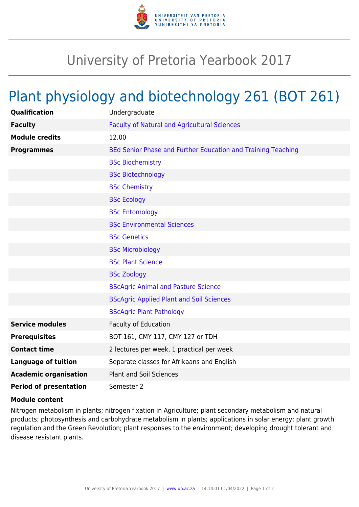

## University of Pretoria Yearbook 2017

## Plant physiology and biotechnology 261 (BOT 261)

| Qualification                 | Undergraduate                                                |
|-------------------------------|--------------------------------------------------------------|
| <b>Faculty</b>                | <b>Faculty of Natural and Agricultural Sciences</b>          |
| <b>Module credits</b>         | 12.00                                                        |
| <b>Programmes</b>             | BEd Senior Phase and Further Education and Training Teaching |
|                               | <b>BSc Biochemistry</b>                                      |
|                               | <b>BSc Biotechnology</b>                                     |
|                               | <b>BSc Chemistry</b>                                         |
|                               | <b>BSc Ecology</b>                                           |
|                               | <b>BSc Entomology</b>                                        |
|                               | <b>BSc Environmental Sciences</b>                            |
|                               | <b>BSc Genetics</b>                                          |
|                               | <b>BSc Microbiology</b>                                      |
|                               | <b>BSc Plant Science</b>                                     |
|                               | <b>BSc Zoology</b>                                           |
|                               | <b>BScAgric Animal and Pasture Science</b>                   |
|                               | <b>BScAgric Applied Plant and Soil Sciences</b>              |
|                               | <b>BScAgric Plant Pathology</b>                              |
| <b>Service modules</b>        | <b>Faculty of Education</b>                                  |
| <b>Prerequisites</b>          | BOT 161, CMY 117, CMY 127 or TDH                             |
| <b>Contact time</b>           | 2 lectures per week, 1 practical per week                    |
| <b>Language of tuition</b>    | Separate classes for Afrikaans and English                   |
| <b>Academic organisation</b>  | <b>Plant and Soil Sciences</b>                               |
| <b>Period of presentation</b> | Semester 2                                                   |

## **Module content**

Nitrogen metabolism in plants; nitrogen fixation in Agriculture; plant secondary metabolism and natural products; photosynthesis and carbohydrate metabolism in plants; applications in solar energy; plant growth regulation and the Green Revolution; plant responses to the environment; developing drought tolerant and disease resistant plants.